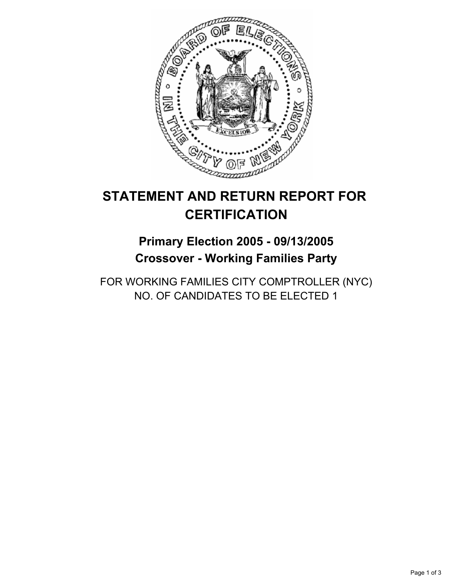

# **STATEMENT AND RETURN REPORT FOR CERTIFICATION**

# **Primary Election 2005 - 09/13/2005 Crossover - Working Families Party**

FOR WORKING FAMILIES CITY COMPTROLLER (NYC) NO. OF CANDIDATES TO BE ELECTED 1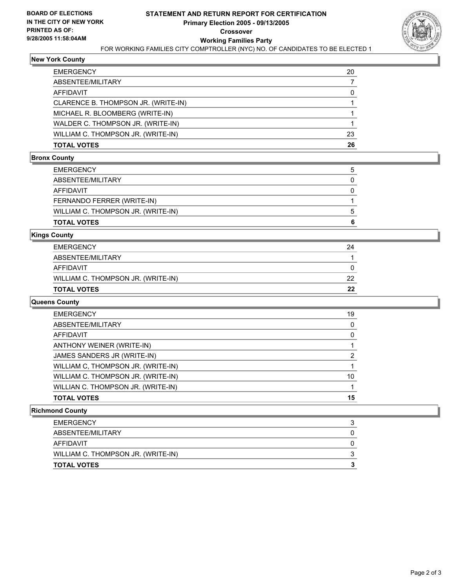

#### **New York County**

| <b>EMERGENCY</b>                    | 20 |
|-------------------------------------|----|
| ABSENTEE/MILITARY                   |    |
| AFFIDAVIT                           | 0  |
| CLARENCE B. THOMPSON JR. (WRITE-IN) |    |
| MICHAEL R. BLOOMBERG (WRITE-IN)     |    |
| WALDER C. THOMPSON JR. (WRITE-IN)   |    |
| WILLIAM C. THOMPSON JR. (WRITE-IN)  | 23 |
| <b>TOTAL VOTES</b>                  | 26 |

#### **Bronx County**

| EMERGENCY                          | : |
|------------------------------------|---|
| ABSENTEE/MILITARY                  |   |
| AFFIDAVIT                          |   |
| FERNANDO FERRER (WRITE-IN)         |   |
| WILLIAM C. THOMPSON JR. (WRITE-IN) | n |
| TOTAL VOTES                        |   |
|                                    |   |

#### **Kings County**

| EMERGENCY                          | 24 |
|------------------------------------|----|
| ABSENTEE/MILITARY                  |    |
| AFFIDAVIT                          |    |
| WILLIAM C. THOMPSON JR. (WRITE-IN) | 22 |
| TOTAL VOTES                        | 22 |

## **Queens County**

| <b>EMERGENCY</b>                   | 19 |
|------------------------------------|----|
| ABSENTEE/MILITARY                  |    |
| AFFIDAVIT                          |    |
| ANTHONY WEINER (WRITE-IN)          |    |
| JAMES SANDERS JR (WRITE-IN)        |    |
| WILLIAM C, THOMPSON JR. (WRITE-IN) |    |
| WILLIAM C. THOMPSON JR. (WRITE-IN) | 10 |
| WILLIAN C. THOMPSON JR. (WRITE-IN) |    |
| <b>TOTAL VOTES</b>                 | 15 |

#### **Richmond County**

| <b>EMERGENCY</b>                   |  |
|------------------------------------|--|
| ABSENTEE/MILITARY                  |  |
| AFFIDAVIT                          |  |
| WILLIAM C. THOMPSON JR. (WRITE-IN) |  |
| <b>TOTAL VOTES</b>                 |  |